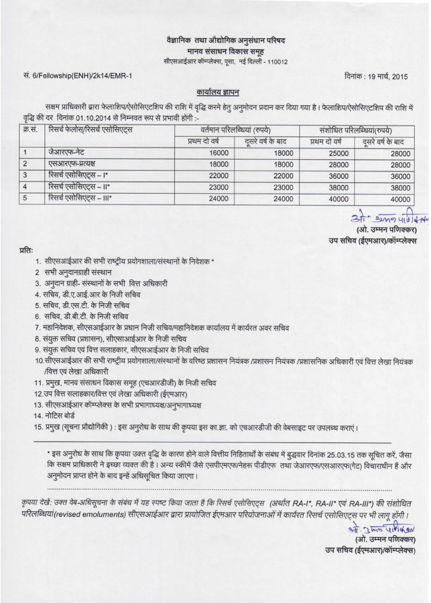## वैज्ञानिक तथा औद्योगिक अनुसंधान परिषद मानव संसाधन विकास समूह

सीएसआईआर कॉम्प्लेक्स, पूसा, नई दिल्ली - 110012

सं. 6/Fellowship(ENH)/2k14/EMR-1

दिनांक: 19 मार्च, 2015

## कार्यालय ज्ञापन

सक्षम प्राधिकारी द्वारा फेलाशिप/ऐसोसिएटशिप की राशि में वृद्धि करने हेतु अनुमोदन प्रदान कर दिया गया है। फेलाशिप/ऐसोसिएटशिप की राशि में वृद्धि की दर दिनांक 01.10.2014 से निम्नवत रूप से प्रभावी होंगी :-

| क्र.सं. | रिसर्च फेलोस्/रिसर्च एसोसिएट्स | वर्तमान परिलब्धियां (रुपये) |                  | संशोधित परिलब्धियां(रुपये) |                  |
|---------|--------------------------------|-----------------------------|------------------|----------------------------|------------------|
|         |                                | प्रथम दो वर्ष               | दसरे वर्ष के बाद | प्रथम दो वर्ष              | दसरे वर्ष के बाद |
|         | जेआरएफ-नेट                     | 16000                       | 18000            | 25000                      | 28000            |
| 2       | एसआरएफ-प्रत्यक्ष               | 18000                       | 18000            | 28000                      | 28000            |
| 3       | रिसर्च एसोसिएट्स – ।*          | 22000                       | 22000            | 36000                      | 36000            |
|         | रिसर्च एसोसिएट्स – ॥*          | 23000                       | 23000            | 38000                      | 38000            |
| 5       | रिसर्च एसोसिएट्स – III*        | 24000                       | 24000            | 40000                      | 40000            |

- Sing 41

(ओ. उम्मन पणिक्कर उप सचिव (ईएमआर)/कॉम्प्लेक्स

प्रति:

- 1. सीएसआईआर की सभी राष्ट्रीय प्रयोगशाला/संस्थानों के निदेशक \*
- 2 सभी अनुदानग्राही संस्थान
- 3. अनुदान ग्राही- संस्थानों के सभी वित्त अधिकारी
- 4. सचिव, डी.ए.आई.आर के निजी सचिव
- 5. सचिव, डी.एस.टी. के निजी सचिव
- 6. सचिव, डी.बी.टी. के निजी सचिव
- 7. महानिदेशक, सीएसआईआर के प्रधान निजी सचिव/महानिदेशक कार्यालय में कार्यरत अवर सचिव
- 8. संयुक्त सचिव (प्रशासन), सीएसाआईआर के निजी सचिव
- 9. संयुक्त सचिव एवं वित्त सलाहकार, सीएसआईआर के निजी सचिव
- 10.सीएसआईआर की सभी राष्ट्रीय प्रयोगशाला/संस्थानों के वरिष्ठ प्रशासन नियंत्रक /प्रशासन नियंत्रक /प्रशासनिक अधिकारी एवं वित्त लेखा नियंत्रक /वित्त एवं लेखा अधिकारी
- 11. प्रमुख, मानव संसाधन विकास समूह (एचआरडीजी) के निजी सचिव
- 12.उप वित्त सलाहकार/वित्त एवं लेखा अधिकारी (ईएमआर)
- 13. सीएसआईआर कॉम्प्लेक्स के सभी प्रभागाध्यक्ष/अनुभागाध्यक्ष
- 14. नोटिस बोर्ड
- 15. प्रमुख (सूचना प्रौद्योगिकी): इस अनुरोध के साथ की कृपया इस का.ज्ञा. को एचआरडीजी की वेबसाइट पर उपलब्ध कराएं।

\* इस अनुरोध के साथ कि कृपया उक्त वृद्धि के कारण होने वाले वित्तीय निहिताथों के संबंध में बुद्धवार दिनांक 25.03.15 तक सूचित करें, जैसा कि सक्षम प्राधिकारी ने इच्छा व्यक्त की है। अन्य स्कीमें जैसे एसपीएमएफ/नेहरू पीडीएफ) तथा जेआरएफ/एसआरएफ(गेट) विचाराधीन हैं और अनुमोदन प्राप्त होने के बाद इन्हें अधिसूचित किया जाएगा।

कृपया देखें: उक्त वेब-अधिसूचना के संबंध में यह स्पष्ट किया जाता है कि रिसर्च एसोसिएट्स (अर्थात RA-I\*, RA-II\* एवं RA-III\*) की संशोधित परिलब्धियां(revised emoluments) सीएसआईआर द्वारा प्रायोजित ईएमआर परियोजनाओं में कार्यरत रिसर्च एसोसिएट्स पर भी लागू होंगी ।

> 37 2 mg yellong (ओ. उम्मन पणिक्कर) उप सचिव (ईएमआर)/कॉम्प्लेक्स)